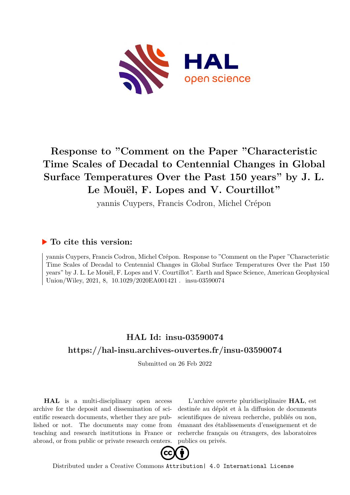

# **Response to "Comment on the Paper "Characteristic Time Scales of Decadal to Centennial Changes in Global Surface Temperatures Over the Past 150 years" by J. L. Le Mouël, F. Lopes and V. Courtillot"**

yannis Cuypers, Francis Codron, Michel Crépon

## **To cite this version:**

yannis Cuypers, Francis Codron, Michel Crépon. Response to "Comment on the Paper "Characteristic Time Scales of Decadal to Centennial Changes in Global Surface Temperatures Over the Past 150 years" by J. L. Le Mouël, F. Lopes and V. Courtillot". Earth and Space Science, American Geophysical Union/Wiley, 2021, 8,  $10.1029/2020EA001421$ . insu-03590074

# **HAL Id: insu-03590074 <https://hal-insu.archives-ouvertes.fr/insu-03590074>**

Submitted on 26 Feb 2022

**HAL** is a multi-disciplinary open access archive for the deposit and dissemination of scientific research documents, whether they are published or not. The documents may come from teaching and research institutions in France or abroad, or from public or private research centers.

L'archive ouverte pluridisciplinaire **HAL**, est destinée au dépôt et à la diffusion de documents scientifiques de niveau recherche, publiés ou non, émanant des établissements d'enseignement et de recherche français ou étrangers, des laboratoires publics ou privés.



Distributed under a Creative Commons [Attribution| 4.0 International License](http://creativecommons.org/licenses/by/4.0/)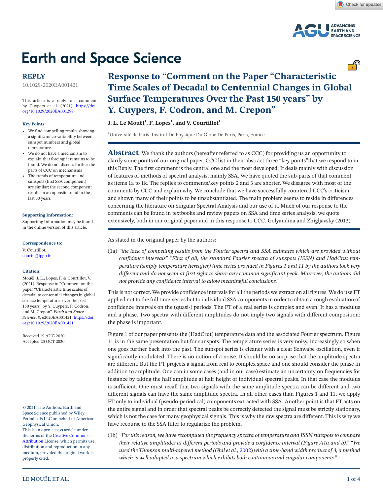

# **Earth and Space Science**

## **REPLY**

10.1029/2020EA001421

This article is a reply to a comment by Cuypers et al. (2021), [https://doi.](https://doi.org/10.1029/2020EA001298) [org/10.1029/2020EA001298.](https://doi.org/10.1029/2020EA001298)

#### **Key Points:**

- We find compelling results showing a significant co-variability between sunspot numbers and global temperature
- We do not have a mechanism to explain that forcing: it remains to be found. We do not discuss further the parts of CCC on mechanisms
- The trends of temperature and sunspots (first SSA component) are similar; the second component results in an opposite trend in the last 30 years

#### **[Supporting Information:](https://doi.org/10.1029/2020EA001421)**

[Supporting Information may be found](https://doi.org/10.1029/2020EA001421)  [in the online version of this article.](https://doi.org/10.1029/2020EA001421)

#### **Correspondence to:**

V. Courtillot, courtil@ipgp.fr

#### **Citation:**

Mouël, J. L., Lopes, F. & Courtillot, V. (2021). Response to "Comment on the paper "Characteristic time scales of decadal to centennial changes in global surface temperatures over the past 150 years" by Y. Cuypers, F. Codron, and M. Crepon". *Earth and Space Science*, *8*, e2020EA001421. [https://doi.](https://doi.org/10.1029/2020EA001421) [org/10.1029/2020EA001421](https://doi.org/10.1029/2020EA001421)

Received 19 AUG 2020 Accepted 25 OCT 2020

© 2021. The Authors. Earth and Space Science published by Wiley Periodicals LLC on behalf of American Geophysical Union. This is an open access article under the terms of the Creative Commons Attribution License, which permits use, distribution and reproduction in any medium, provided the original work is properly cited.

# **Response to "Comment on the Paper "Characteristic Time Scales of Decadal to Centennial Changes in Global Surface Temperatures Over the Past 150 years" by Y. Cuypers, F. Codron, and M. Crepon"**

**J. L. Le Mouël** $^1$ **, F. Lopes** $^1$ **, and V. Courtillot** $^1$ 

<sup>1</sup>Université de Paris, Institut De Physique Du Globe De Paris, Paris, France

Abstract We thank the authors (hereafter referred to as CCC) for providing us an opportunity to clarify some points of our original paper. CCC list in their abstract three "key points"that we respond to in this Reply. The first comment is the central one and the most developed. It deals mainly with discussion of features of methods of spectral analysis, mainly SSA. We have quoted the sub-parts of that comment as items 1a to 1k. The replies to comments/key points 2 and 3 are shorter. We disagree with most of the comments by CCC and explain why. We conclude that we have successfully countered CCC's criticism and shown many of their points to be unsubstantiated. The main problem seems to reside in differences concerning the literature on Singular Spectral Analysis and our use of it. Much of our response to the comments can be found in textbooks and review papers on SSA and time series analysis; we quote extensively, both in our original paper and in this response to CCC, Golyandina and Zhigljavsky (2013).

As stated in the original paper by the authors:

(1a) *"the lack of compelling results from the Fourier spectra and SSA estimates which are provided without confidence intervals" "First of all, the standard Fourier spectra of sunspots (ISSN) and HadCrut temperature (simply temperature hereafter) time series provided in Figures 1 and 11 by the authors look very different and do not seem at first sight to share any common significant peak. Moreover, the authors did not provide any confidence interval to allow meaningful conclusions."*

This is not correct. We provide confidence intervals for all the periods we extract on all figures. We do use FT applied not to the full time-series but to individual SSA components in order to obtain a rough evaluation of confidence intervals on the (quasi-) periods. The FT of a real series is complex and even. It has a modulus and a phase. Two spectra with different amplitudes do not imply two signals with different composition: the phase is important.

Figure 1 of our paper presents the (HadCrut) temperature data and the associated Fourier spectrum. Figure 11 is in the same presentation but for sunspots. The temperature series is very noisy, increasingly so when one goes further back into the past. The sunspot series is cleaner with a clear Schwabe oscillation, even if significantly modulated. There is no notion of a noise. It should be no surprise that the amplitude spectra are different. But the FT projects a signal from real to complex space and one should consider the phase in addition to amplitude. One can in some cases (and in our case) estimate an uncertainty on frequencies for instance by taking the half amplitude at half height of individual spectral peaks. In that case the modulus is sufficient. One must recall that two signals with the same amplitude spectra can be different and two different signals can have the same amplitude spectra. In all other cases than Figures 1 and 11, we apply FT only to individual (pseudo-periodical) components extracted with SSA. Another point is that FT acts on the entire signal and in order that spectral peaks be correctly detected the signal must be strictly stationary, which is not the case for many geophysical signals. This is why the raw spectra are different. This is why we have recourse to the SSA filter to regularize the problem.

(1b) *"For this reason, we have recomputed the frequency spectra of temperature and ISSN sunspots to compare their relative amplitudes at different periods and provide a confidence interval (Figure A1a and b)." "We used the Thomson multi-tapered method (Ghil et al.,* 2002) *with a time-band width product of 3, a method which is well adapted to a spectrum which exhibits both continuous and singular components."*

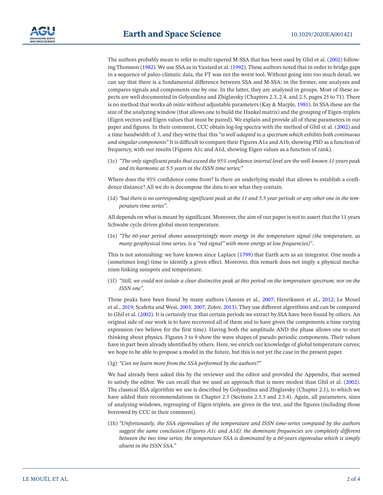The authors probably mean to refer to multi-tapered M-SSA that has been used by Ghil et al. (2002) following Thomson (1982). We use SSA as in Vautard et al. (1992). These authors noted that in order to bridge gaps in a sequence of paleo-climatic data, the FT was not the worst tool. Without going into too much detail, we can say that there is a fundamental difference between SSA and M-SSA: in the former, one analyzes and compares signals and components one by one. In the latter, they are analyzed in groups. Most of these aspects are well documented in Golyandina and Zhiglavsky (Chapters 2.3, 2.4, and 2.5, pages 25 to 71). There is no method that works *ab initio* without adjustable parameters (Kay & Marple, 1981). In SSA these are the size of the analyzing window (that allows one to build the Hankel matrix) and the grouping of Eigen-triplets (Eigen vectors and Eigen values that must be paired). We explain and provide all of these parameters in our paper and figures. In their comment, CCC obtain log-log spectra with the method of Ghil et al. (2002) and a time bandwidth of 3, and they write that this "*is well adapted to a spectrum which exhibits both continuous and singular components"* It is difficult to compare their Figures A1a and A1b, showing PSD as a function of frequency, with our results (Figures A1c and A1d, showing Eigen values as a function of rank).

(1c) *"The only significant peaks that exceed the 95% confidence interval level are the well-known 11-years peak and its harmonic at 5.5 years in the ISSN time series;"*

Where does the 95% confidence come from? Is there an underlying model that allows to establish a confidence distance? All we do is decompose the data to see what they contain.

(1d) *"but there is no corresponding significant peak at the 11 and 5.5 year periods or any other one in the temperature time series"*.

All depends on what is meant by significant. Moreover, the aim of our paper is not to assert that the 11 years Schwabe cycle drives global mean temperature.

(1e) *"The 60-year period shows unsurprisingly more energy in the temperature signal (the temperature, as many geophysical time series, is a "red signal" with more energy at low frequencies)"*.

This is not astonishing: we have known since Laplace (1799) that Earth acts as an integrator. One needs a (sometimes long) time to identify a given effect. Moreover, this remark does not imply a physical mechanism linking sunspots and temperature.

(1f) *"Still, we could not isolate a clear distinctive peak at this period on the temperature spectrum; nor on the ISSN one"*.

These peaks have been found by many authors (Azeem et al., 2007; Henriksson et al., 2012; Le Mouel et al., 2019; Scafetta and West, 2003, 2007; Zotov, 2013). They use different algorithms and can be compared to Ghil et al. (2002). It is certainly true that certain periods we extract by SSA have been found by others. An original side of our work is to have recovered all of them and to have given the components a time varying expression (we believe for the first time). Having both the amplitude AND the phase allows one to start thinking about physics. Figures 3 to 9 show the wave shapes of pseudo periodic components. Their values have in part been already identified by others. Here, we enrich our knowledge of global temperature curves; we hope to be able to propose a model in the future, but this is not yet the case in the present paper.

### (1g) *"Can we learn more from the SSA performed by the authors?"*

We had already been asked this by the reviewer and the editor and provided the Appendix, that seemed to satisfy the editor. We can recall that we used an approach that is more modest than Ghil et al. (2002). The classical SSA algorithm we use is described by Golyandina and Zhiglavsky (Chapter 2.1), to which we have added their recommendations in Chapter 2.5 (Sections 2.5.3 and 2.5.4). Again, all parameters, sizes of analyzing windows, regrouping of Eigen-triplets, are given in the text, and the figures (including those borrowed by CCC in their comment).

(1h) *"Unfortunately, the SSA eigenvalues of the temperature and ISSN time-series computed by the authors suggest the same conclusion (Figures A1c and A1d): the dominant frequencies are completely different between the two time series; the temperature SSA is dominated by a 60-years eigenvalue which is simply absent in the ISSN SSA."*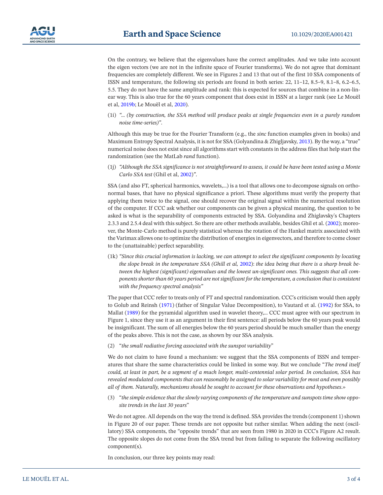On the contrary, we believe that the eigenvalues have the correct amplitudes. And we take into account the eigen vectors (we are not in the infinite space of Fourier transforms). We do not agree that dominant frequencies are completely different. We see in Figures 2 and 13 that out of the first 10 SSA components of ISSN and temperature, the following six periods are found in both series: 22, 11–12, 8.5–9, 8.1–8, 6.2–6.5, 5.5. They do not have the same amplitude and rank: this is expected for sources that combine in a non-linear way. This is also true for the 60 years component that does exist in ISSN at a larger rank (see Le Mouël et al, 2019b; Le Mouël et al, 2020).

(1i) *"… (by construction, the SSA method will produce peaks at single frequencies even in a purely random noise time-series)"*.

Although this may be true for the Fourier Transform (e.g., the *sinc* function examples given in books) and Maximum Entropy Spectral Analysis, it is not for SSA (Golyandina & Zhigljavsky, 2013). By the way, a "true" numerical noise does not exist since all algorithms start with constants in the address files that help start the randomization (see the MatLab *rand* function).

(1j) *"Although the SSA significance is not straightforward to assess, it could be have been tested using a Monte Carlo SSA test* (Ghil et al, 2002)*"*.

SSA (and also FT, spherical harmonics, wavelets,…) is a tool that allows one to decompose signals on orthonormal bases, that have no physical significance a priori. These algorithms must verify the property that applying them twice to the signal, one should recover the original signal within the numerical resolution of the computer. If CCC ask whether our components can be given a physical meaning, the question to be asked is what is the separability of components extracted by SSA. Golyandina and Zhiglavsky's Chapters 2.3.3 and 2.5.4 deal with this subject. So there are other methods available, besides Ghil et al. (2002); moreover, the Monte-Carlo method is purely statistical whereas the rotation of the Hankel matrix associated with the Varimax allows one to optimize the distribution of energies in eigenvectors, and therefore to come closer to the (unattainable) perfect separability.

(1k) *"Since this crucial information is lacking, we can attempt to select the significant components by locating the slope break in the temperature SSA (Ghill et al,* 2002): *the idea being that there is a sharp break between the highest (significant) eigenvalues and the lowest un-significant ones. This suggests that all components shorter than 60 years period are not significant for the temperature, a conclusion that is consistent with the frequency spectral analysis"*

The paper that CCC refer to treats only of FT and spectral randomization. CCC's criticism would then apply to Golub and Reinsh (1971) (father of Singular Value Decomposition), to Vautard et al. (1992) for SSA, to Mallat (1989) for the pyramidal algorithm used in wavelet theory,… CCC must agree with our spectrum in Figure 1, since they use it as an argument in their first sentence: all periods below the 60 years peak would be insignificant. The sum of all energies below the 60 years period should be much smaller than the energy of the peaks above. This is not the case, as shown by our SSA analysis.

(2) "*the small radiative forcing associated with the sunspot variability*"

We do not claim to have found a mechanism: we suggest that the SSA components of ISSN and temperatures that share the same characteristics could be linked in some way. But we conclude "*The trend itself could, at least in part, be a segment of a much longer, multi-centennial solar period. In conclusion, SSA has revealed modulated components that can reasonably be assigned to solar variability for most and even possibly all of them. Naturally, mechanisms should be sought to account for these observations and hypotheses*.»

(3) "*the simple evidence that the slowly varying components of the temperature and sunspots time show opposite trends in the last 30 years*"

We do not agree. All depends on the way the trend is defined. SSA provides the trends (component 1) shown in Figure 20 of our paper. These trends are not opposite but rather similar. When adding the next (oscillatory) SSA components, the "opposite trends" that are seen from 1980 in 2020 in CCC's Figure A2 result. The opposite slopes do not come from the SSA trend but from failing to separate the following oscillatory component(s).

In conclusion, our three key points may read: